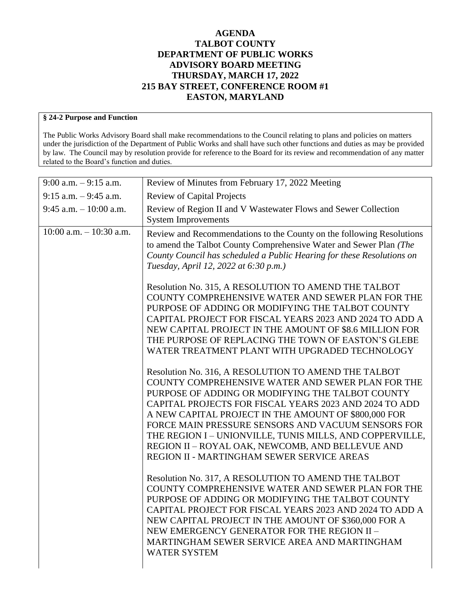## **AGENDA TALBOT COUNTY DEPARTMENT OF PUBLIC WORKS ADVISORY BOARD MEETING THURSDAY, MARCH 17, 2022 215 BAY STREET, CONFERENCE ROOM #1 EASTON, MARYLAND**

## **§ 24-2 Purpose and Function**

The Public Works Advisory Board shall make recommendations to the Council relating to plans and policies on matters under the jurisdiction of the Department of Public Works and shall have such other functions and duties as may be provided by law. The Council may by resolution provide for reference to the Board for its review and recommendation of any matter related to the Board's function and duties.

| $9:00$ a.m. $-9:15$ a.m.   | Review of Minutes from February 17, 2022 Meeting                                                                                                                                                                                                                                                                                                                                                                                                                                                                                                                                                                                                                                                                                                                                                                                                                                                                                                 |
|----------------------------|--------------------------------------------------------------------------------------------------------------------------------------------------------------------------------------------------------------------------------------------------------------------------------------------------------------------------------------------------------------------------------------------------------------------------------------------------------------------------------------------------------------------------------------------------------------------------------------------------------------------------------------------------------------------------------------------------------------------------------------------------------------------------------------------------------------------------------------------------------------------------------------------------------------------------------------------------|
| $9:15$ a.m. $-9:45$ a.m.   | <b>Review of Capital Projects</b>                                                                                                                                                                                                                                                                                                                                                                                                                                                                                                                                                                                                                                                                                                                                                                                                                                                                                                                |
| $9:45$ a.m. $-10:00$ a.m.  | Review of Region II and V Wastewater Flows and Sewer Collection<br><b>System Improvements</b>                                                                                                                                                                                                                                                                                                                                                                                                                                                                                                                                                                                                                                                                                                                                                                                                                                                    |
| $10:00$ a.m. $-10:30$ a.m. | Review and Recommendations to the County on the following Resolutions<br>to amend the Talbot County Comprehensive Water and Sewer Plan (The<br>County Council has scheduled a Public Hearing for these Resolutions on<br>Tuesday, April 12, 2022 at 6:30 p.m.)<br>Resolution No. 315, A RESOLUTION TO AMEND THE TALBOT<br>COUNTY COMPREHENSIVE WATER AND SEWER PLAN FOR THE<br>PURPOSE OF ADDING OR MODIFYING THE TALBOT COUNTY<br>CAPITAL PROJECT FOR FISCAL YEARS 2023 AND 2024 TO ADD A<br>NEW CAPITAL PROJECT IN THE AMOUNT OF \$8.6 MILLION FOR<br>THE PURPOSE OF REPLACING THE TOWN OF EASTON'S GLEBE<br>WATER TREATMENT PLANT WITH UPGRADED TECHNOLOGY<br>Resolution No. 316, A RESOLUTION TO AMEND THE TALBOT<br>COUNTY COMPREHENSIVE WATER AND SEWER PLAN FOR THE<br>PURPOSE OF ADDING OR MODIFYING THE TALBOT COUNTY<br>CAPITAL PROJECTS FOR FISCAL YEARS 2023 AND 2024 TO ADD<br>A NEW CAPITAL PROJECT IN THE AMOUNT OF \$800,000 FOR |
|                            | FORCE MAIN PRESSURE SENSORS AND VACUUM SENSORS FOR<br>THE REGION I - UNIONVILLE, TUNIS MILLS, AND COPPERVILLE,<br>REGION II - ROYAL OAK, NEWCOMB, AND BELLEVUE AND                                                                                                                                                                                                                                                                                                                                                                                                                                                                                                                                                                                                                                                                                                                                                                               |
|                            | REGION II - MARTINGHAM SEWER SERVICE AREAS<br>Resolution No. 317, A RESOLUTION TO AMEND THE TALBOT<br>COUNTY COMPREHENSIVE WATER AND SEWER PLAN FOR THE<br>PURPOSE OF ADDING OR MODIFYING THE TALBOT COUNTY<br>CAPITAL PROJECT FOR FISCAL YEARS 2023 AND 2024 TO ADD A<br>NEW CAPITAL PROJECT IN THE AMOUNT OF \$360,000 FOR A<br>NEW EMERGENCY GENERATOR FOR THE REGION II -<br>MARTINGHAM SEWER SERVICE AREA AND MARTINGHAM<br><b>WATER SYSTEM</b>                                                                                                                                                                                                                                                                                                                                                                                                                                                                                             |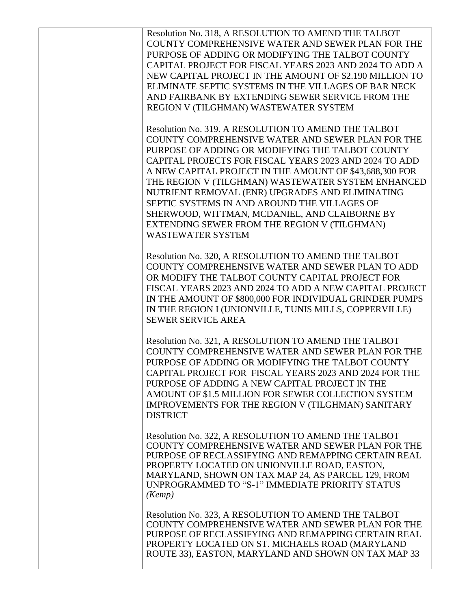Resolution No. 318, A RESOLUTION TO AMEND THE TALBOT COUNTY COMPREHENSIVE WATER AND SEWER PLAN FOR THE PURPOSE OF ADDING OR MODIFYING THE TALBOT COUNTY CAPITAL PROJECT FOR FISCAL YEARS 2023 AND 2024 TO ADD A NEW CAPITAL PROJECT IN THE AMOUNT OF \$2.190 MILLION TO ELIMINATE SEPTIC SYSTEMS IN THE VILLAGES OF BAR NECK AND FAIRBANK BY EXTENDING SEWER SERVICE FROM THE REGION V (TILGHMAN) WASTEWATER SYSTEM

Resolution No. 319. A RESOLUTION TO AMEND THE TALBOT COUNTY COMPREHENSIVE WATER AND SEWER PLAN FOR THE PURPOSE OF ADDING OR MODIFYING THE TALBOT COUNTY CAPITAL PROJECTS FOR FISCAL YEARS 2023 AND 2024 TO ADD A NEW CAPITAL PROJECT IN THE AMOUNT OF \$43,688,300 FOR THE REGION V (TILGHMAN) WASTEWATER SYSTEM ENHANCED NUTRIENT REMOVAL (ENR) UPGRADES AND ELIMINATING SEPTIC SYSTEMS IN AND AROUND THE VILLAGES OF SHERWOOD, WITTMAN, MCDANIEL, AND CLAIBORNE BY EXTENDING SEWER FROM THE REGION V (TILGHMAN) WASTEWATER SYSTEM

Resolution No. 320, A RESOLUTION TO AMEND THE TALBOT COUNTY COMPREHENSIVE WATER AND SEWER PLAN TO ADD OR MODIFY THE TALBOT COUNTY CAPITAL PROJECT FOR FISCAL YEARS 2023 AND 2024 TO ADD A NEW CAPITAL PROJECT IN THE AMOUNT OF \$800,000 FOR INDIVIDUAL GRINDER PUMPS IN THE REGION I (UNIONVILLE, TUNIS MILLS, COPPERVILLE) SEWER SERVICE AREA

Resolution No. 321, A RESOLUTION TO AMEND THE TALBOT COUNTY COMPREHENSIVE WATER AND SEWER PLAN FOR THE PURPOSE OF ADDING OR MODIFYING THE TALBOT COUNTY CAPITAL PROJECT FOR FISCAL YEARS 2023 AND 2024 FOR THE PURPOSE OF ADDING A NEW CAPITAL PROJECT IN THE AMOUNT OF \$1.5 MILLION FOR SEWER COLLECTION SYSTEM IMPROVEMENTS FOR THE REGION V (TILGHMAN) SANITARY DISTRICT

Resolution No. 322, A RESOLUTION TO AMEND THE TALBOT COUNTY COMPREHENSIVE WATER AND SEWER PLAN FOR THE PURPOSE OF RECLASSIFYING AND REMAPPING CERTAIN REAL PROPERTY LOCATED ON UNIONVILLE ROAD, EASTON, MARYLAND, SHOWN ON TAX MAP 24, AS PARCEL 129, FROM UNPROGRAMMED TO "S-1" IMMEDIATE PRIORITY STATUS *(Kemp)*

Resolution No. 323, A RESOLUTION TO AMEND THE TALBOT COUNTY COMPREHENSIVE WATER AND SEWER PLAN FOR THE PURPOSE OF RECLASSIFYING AND REMAPPING CERTAIN REAL PROPERTY LOCATED ON ST. MICHAELS ROAD (MARYLAND ROUTE 33), EASTON, MARYLAND AND SHOWN ON TAX MAP 33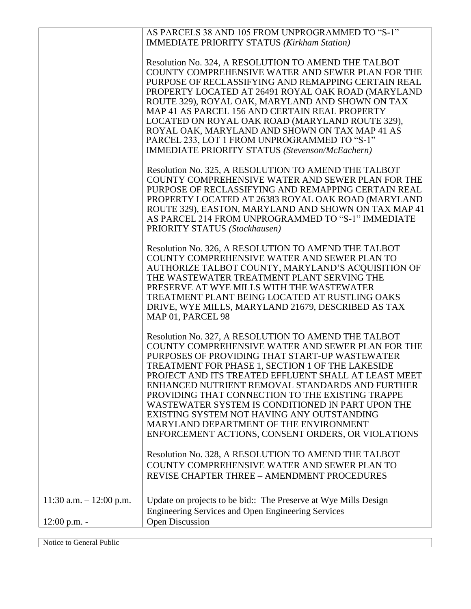|                           | AS PARCELS 38 AND 105 FROM UNPROGRAMMED TO "S-1"<br><b>IMMEDIATE PRIORITY STATUS (Kirkham Station)</b>                                                                                                                                                                                                                                                                                                                                                                                                                                                                            |
|---------------------------|-----------------------------------------------------------------------------------------------------------------------------------------------------------------------------------------------------------------------------------------------------------------------------------------------------------------------------------------------------------------------------------------------------------------------------------------------------------------------------------------------------------------------------------------------------------------------------------|
|                           | Resolution No. 324, A RESOLUTION TO AMEND THE TALBOT<br>COUNTY COMPREHENSIVE WATER AND SEWER PLAN FOR THE<br>PURPOSE OF RECLASSIFYING AND REMAPPING CERTAIN REAL<br>PROPERTY LOCATED AT 26491 ROYAL OAK ROAD (MARYLAND<br>ROUTE 329), ROYAL OAK, MARYLAND AND SHOWN ON TAX<br>MAP 41 AS PARCEL 156 AND CERTAIN REAL PROPERTY<br>LOCATED ON ROYAL OAK ROAD (MARYLAND ROUTE 329),<br>ROYAL OAK, MARYLAND AND SHOWN ON TAX MAP 41 AS<br>PARCEL 233, LOT 1 FROM UNPROGRAMMED TO "S-1"<br><b>IMMEDIATE PRIORITY STATUS (Stevenson/McEachern)</b>                                       |
|                           | Resolution No. 325, A RESOLUTION TO AMEND THE TALBOT<br>COUNTY COMPREHENSIVE WATER AND SEWER PLAN FOR THE<br>PURPOSE OF RECLASSIFYING AND REMAPPING CERTAIN REAL<br>PROPERTY LOCATED AT 26383 ROYAL OAK ROAD (MARYLAND<br>ROUTE 329), EASTON, MARYLAND AND SHOWN ON TAX MAP 41<br>AS PARCEL 214 FROM UNPROGRAMMED TO "S-1" IMMEDIATE<br>PRIORITY STATUS (Stockhausen)                                                                                                                                                                                                             |
|                           | Resolution No. 326, A RESOLUTION TO AMEND THE TALBOT<br>COUNTY COMPREHENSIVE WATER AND SEWER PLAN TO<br>AUTHORIZE TALBOT COUNTY, MARYLAND'S ACQUISITION OF<br>THE WASTEWATER TREATMENT PLANT SERVING THE<br>PRESERVE AT WYE MILLS WITH THE WASTEWATER<br>TREATMENT PLANT BEING LOCATED AT RUSTLING OAKS<br>DRIVE, WYE MILLS, MARYLAND 21679, DESCRIBED AS TAX<br>MAP 01, PARCEL 98                                                                                                                                                                                                |
|                           | Resolution No. 327, A RESOLUTION TO AMEND THE TALBOT<br>COUNTY COMPREHENSIVE WATER AND SEWER PLAN FOR THE<br>PURPOSES OF PROVIDING THAT START-UP WASTEWATER<br>TREATMENT FOR PHASE 1. SECTION 1 OF THE LAKESIDE<br>PROJECT AND ITS TREATED EFFLUENT SHALL AT LEAST MEET<br>ENHANCED NUTRIENT REMOVAL STANDARDS AND FURTHER<br>PROVIDING THAT CONNECTION TO THE EXISTING TRAPPE<br>WASTEWATER SYSTEM IS CONDITIONED IN PART UPON THE<br>EXISTING SYSTEM NOT HAVING ANY OUTSTANDING<br>MARYLAND DEPARTMENT OF THE ENVIRONMENT<br>ENFORCEMENT ACTIONS, CONSENT ORDERS, OR VIOLATIONS |
|                           | Resolution No. 328, A RESOLUTION TO AMEND THE TALBOT<br>COUNTY COMPREHENSIVE WATER AND SEWER PLAN TO<br><b>REVISE CHAPTER THREE - AMENDMENT PROCEDURES</b>                                                                                                                                                                                                                                                                                                                                                                                                                        |
| 11:30 a.m. $- 12:00$ p.m. | Update on projects to be bid:: The Preserve at Wye Mills Design<br><b>Engineering Services and Open Engineering Services</b>                                                                                                                                                                                                                                                                                                                                                                                                                                                      |
| $12:00$ p.m. -            | Open Discussion                                                                                                                                                                                                                                                                                                                                                                                                                                                                                                                                                                   |

Notice to General Public